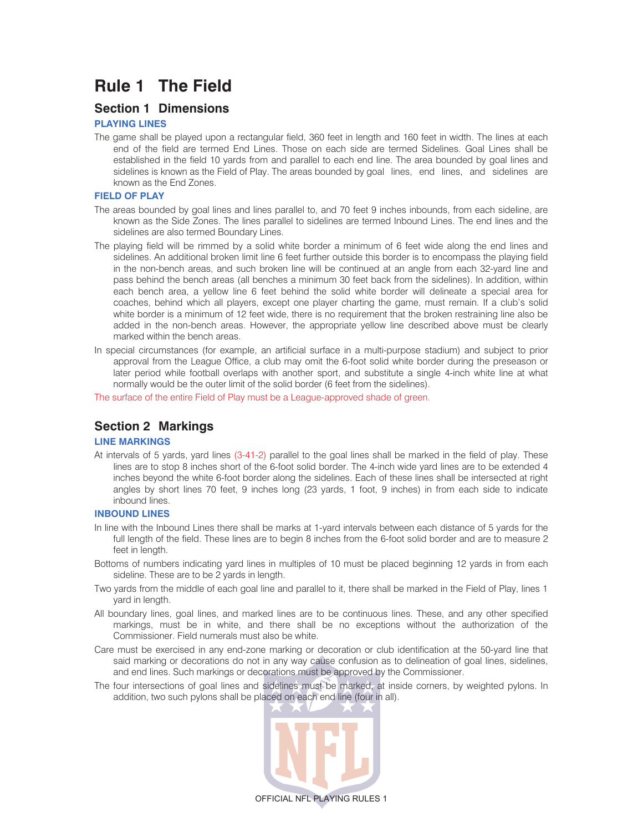# **Rule 1 The Field**

# **Section 1 Dimensions**

### **PLAYING LINES**

The game shall be played upon a rectangular field, 360 feet in length and 160 feet in width. The lines at each end of the field are termed End Lines. Those on each side are termed Sidelines. Goal Lines shall be established in the field 10 yards from and parallel to each end line. The area bounded by goal lines and sidelines is known as the Field of Play. The areas bounded by goal lines, end lines, and sidelines are known as the End Zones.

### **FIELD OF PLAY**

- The areas bounded by goal lines and lines parallel to, and 70 feet 9 inches inbounds, from each sideline, are known as the Side Zones. The lines parallel to sidelines are termed Inbound Lines. The end lines and the sidelines are also termed Boundary Lines.
- The playing field will be rimmed by a solid white border a minimum of 6 feet wide along the end lines and sidelines. An additional broken limit line 6 feet further outside this border is to encompass the playing field in the non-bench areas, and such broken line will be continued at an angle from each 32-yard line and pass behind the bench areas (all benches a minimum 30 feet back from the sidelines). In addition, within each bench area, a yellow line 6 feet behind the solid white border will delineate a special area for coaches, behind which all players, except one player charting the game, must remain. If a club's solid white border is a minimum of 12 feet wide, there is no requirement that the broken restraining line also be added in the non-bench areas. However, the appropriate yellow line described above must be clearly marked within the bench areas.
- In special circumstances (for example, an artificial surface in a multi-purpose stadium) and subject to prior approval from the League Office, a club may omit the 6-foot solid white border during the preseason or later period while football overlaps with another sport, and substitute a single 4-inch white line at what normally would be the outer limit of the solid border (6 feet from the sidelines).

The surface of the entire Field of Play must be a League-approved shade of green.

# **Section 2 Markings**

### **LINE MARKINGS**

At intervals of 5 yards, yard lines (3-41-2) parallel to the goal lines shall be marked in the field of play. These lines are to stop 8 inches short of the 6-foot solid border. The 4-inch wide yard lines are to be extended 4 inches beyond the white 6-foot border along the sidelines. Each of these lines shall be intersected at right angles by short lines 70 feet, 9 inches long (23 yards, 1 foot, 9 inches) in from each side to indicate inbound lines.

### **INBOUND LINES**

- In line with the Inbound Lines there shall be marks at 1-yard intervals between each distance of 5 yards for the full length of the field. These lines are to begin 8 inches from the 6-foot solid border and are to measure 2 feet in length.
- Bottoms of numbers indicating yard lines in multiples of 10 must be placed beginning 12 yards in from each sideline. These are to be 2 yards in length.
- Two yards from the middle of each goal line and parallel to it, there shall be marked in the Field of Play, lines 1 yard in length.
- All boundary lines, goal lines, and marked lines are to be continuous lines. These, and any other specified markings, must be in white, and there shall be no exceptions without the authorization of the Commissioner. Field numerals must also be white.
- Care must be exercised in any end-zone marking or decoration or club identification at the 50-yard line that said marking or decorations do not in any way cause confusion as to delineation of goal lines, sidelines, and end lines. Such markings or decorations must be approved by the Commissioner.
- The four intersections of goal lines and sidelines must be marked, at inside corners, by weighted pylons. In addition, two such pylons shall be placed on each end line (four in all).